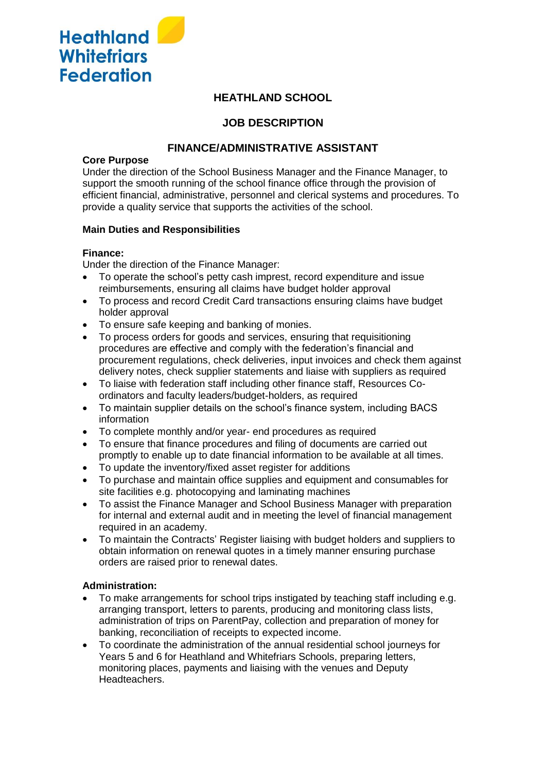

# **HEATHLAND SCHOOL**

# **JOB DESCRIPTION**

# **FINANCE/ADMINISTRATIVE ASSISTANT**

### **Core Purpose**

Under the direction of the School Business Manager and the Finance Manager, to support the smooth running of the school finance office through the provision of efficient financial, administrative, personnel and clerical systems and procedures. To provide a quality service that supports the activities of the school.

## **Main Duties and Responsibilities**

## **Finance:**

Under the direction of the Finance Manager:

- To operate the school's petty cash imprest, record expenditure and issue reimbursements, ensuring all claims have budget holder approval
- To process and record Credit Card transactions ensuring claims have budget holder approval
- To ensure safe keeping and banking of monies.
- To process orders for goods and services, ensuring that requisitioning procedures are effective and comply with the federation's financial and procurement regulations, check deliveries, input invoices and check them against delivery notes, check supplier statements and liaise with suppliers as required
- To liaise with federation staff including other finance staff, Resources Coordinators and faculty leaders/budget-holders, as required
- To maintain supplier details on the school's finance system, including BACS information
- To complete monthly and/or year- end procedures as required
- To ensure that finance procedures and filing of documents are carried out promptly to enable up to date financial information to be available at all times.
- To update the inventory/fixed asset register for additions
- To purchase and maintain office supplies and equipment and consumables for site facilities e.g. photocopying and laminating machines
- To assist the Finance Manager and School Business Manager with preparation for internal and external audit and in meeting the level of financial management required in an academy.
- To maintain the Contracts' Register liaising with budget holders and suppliers to obtain information on renewal quotes in a timely manner ensuring purchase orders are raised prior to renewal dates.

## **Administration:**

- To make arrangements for school trips instigated by teaching staff including e.g. arranging transport, letters to parents, producing and monitoring class lists, administration of trips on ParentPay, collection and preparation of money for banking, reconciliation of receipts to expected income.
- To coordinate the administration of the annual residential school journeys for Years 5 and 6 for Heathland and Whitefriars Schools, preparing letters, monitoring places, payments and liaising with the venues and Deputy Headteachers.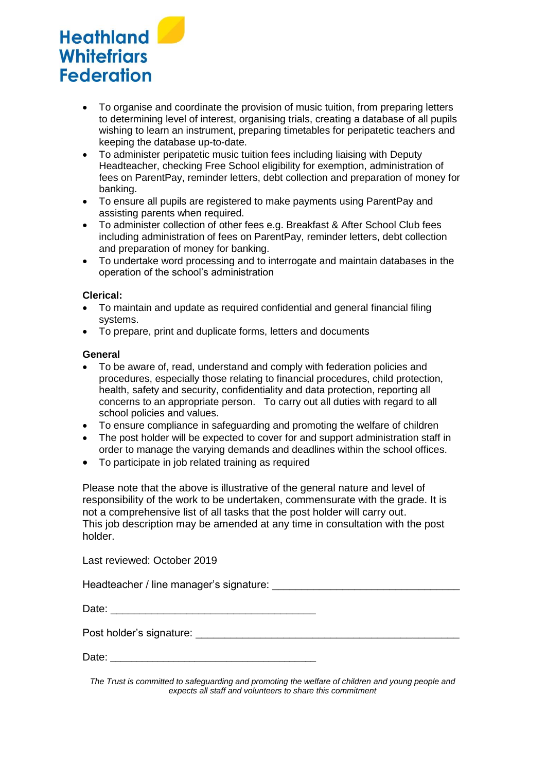# **Heathland Whitefriars Federation**

- To organise and coordinate the provision of music tuition, from preparing letters to determining level of interest, organising trials, creating a database of all pupils wishing to learn an instrument, preparing timetables for peripatetic teachers and keeping the database up-to-date.
- To administer peripatetic music tuition fees including liaising with Deputy Headteacher, checking Free School eligibility for exemption, administration of fees on ParentPay, reminder letters, debt collection and preparation of money for banking.
- To ensure all pupils are registered to make payments using ParentPay and assisting parents when required.
- To administer collection of other fees e.g. Breakfast & After School Club fees including administration of fees on ParentPay, reminder letters, debt collection and preparation of money for banking.
- To undertake word processing and to interrogate and maintain databases in the operation of the school's administration

#### **Clerical:**

- To maintain and update as required confidential and general financial filing systems.
- To prepare, print and duplicate forms, letters and documents

#### **General**

- To be aware of, read, understand and comply with federation policies and procedures, especially those relating to financial procedures, child protection, health, safety and security, confidentiality and data protection, reporting all concerns to an appropriate person. To carry out all duties with regard to all school policies and values.
- To ensure compliance in safeguarding and promoting the welfare of children
- The post holder will be expected to cover for and support administration staff in order to manage the varying demands and deadlines within the school offices.
- To participate in job related training as required

Please note that the above is illustrative of the general nature and level of responsibility of the work to be undertaken, commensurate with the grade. It is not a comprehensive list of all tasks that the post holder will carry out. This job description may be amended at any time in consultation with the post holder.

Last reviewed: October 2019

Headteacher / line manager's signature: \_\_\_\_\_\_\_\_\_\_\_\_\_\_\_\_\_\_\_\_\_\_\_\_\_\_\_\_\_\_\_\_

Date: \_\_\_\_\_\_\_\_\_\_\_\_\_\_\_\_\_\_\_\_\_\_\_\_\_\_\_\_\_\_\_\_\_\_\_

Post holder's signature: **Example 2018** 

| Date: |  |
|-------|--|
|       |  |

*The Trust is committed to safeguarding and promoting the welfare of children and young people and expects all staff and volunteers to share this commitment*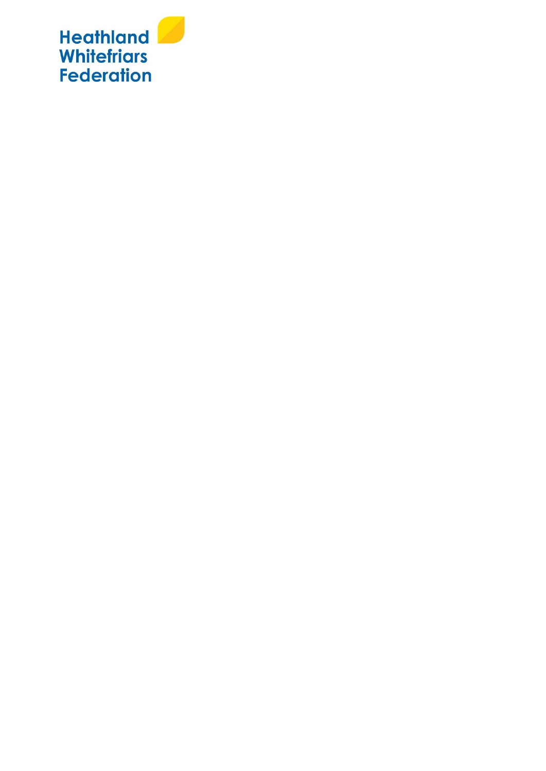